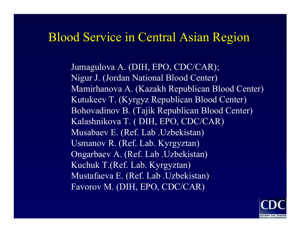#### Blood Service in Central Asian Region

Jumagulova A. (DIH, EPO, CDC/CAR); Nigur J. (Jordan National Blood Center) Mamirhanova A. (Kazakh Republican Blood Center) Kutukeev T. (Kyrgyz Republican Blood Center) Bohovadinov B. (Tajik Republican Blood Center) Kalashnikova T. ( DIH, EPO, CDC/CAR) Musabaev E. (Ref. Lab .Uzbekistan) Usmanov R. (Ref. Lab. Kyrgyztan) Ongarbaev A. (Ref. Lab .Uzbekistan) Kuchuk T.(Ref. Lab. Kyrgyztan) Mustafaeva E. (Ref. Lab .Uzbekistan) Favorov M. (DIH, EPO, CDC/CAR)

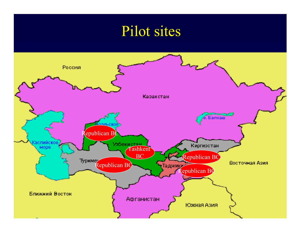### Pilot sites

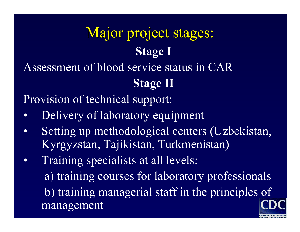# Major project stages: **Stage I** Assessment of blood service status in CAR **Stage II**

Provision of technical support:

- •Delivery of laboratory equipment
- •Setting up methodological centers (Uzbekistan, Kyrgyzstan, Tajikistan, Turkmenistan)
- •Training specialists at all levels: <sup>а</sup>) training courses for laboratory professionals b) training managerial staff in the principles of management

**CENTERS FOR DISEAS!**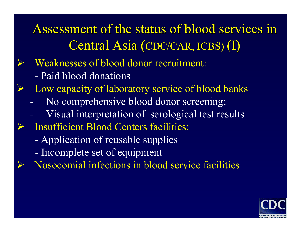## Assessment of the status of blood services in Central Asia (CDC/CAR, ICBS) (I)

- ¾ Weaknesses of blood donor recruitment:
	- Paid blood donations
- ¾ Low capacity of laboratory service of blood banks
	- -No comprehensive blood donor screening;
	- -Visual interpretation of serological test results
- ¾ Insufficient Blood Centers facilities:
	- Application of reusable supplies
	- Incomplete set of equipment
- ¾Nosocomial infections in blood service facilities

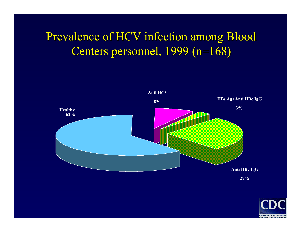### Prevalence of HCV infection among Blood Centers personnel, 1999 (n=168)



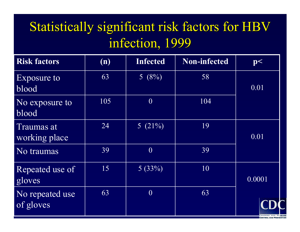## Statistically significant risk factors for HBV infection, 1999

| <b>Risk factors</b>          | (n) | <b>Infected</b> | Non-infected | p<     |
|------------------------------|-----|-----------------|--------------|--------|
| Exposure to<br>blood         | 63  | 5(8%)           | 58           | 0.01   |
| No exposure to<br>blood      | 105 | $\overline{0}$  | 104          |        |
| Traumas at<br>working place  | 24  | 5 $(21\%)$      | 19           | 0.01   |
| No traumas                   | 39  | $\overline{0}$  | 39           |        |
| Repeated use of<br>gloves    | 15  | 5(33%)          | 10           | 0.0001 |
| No repeated use<br>of gloves | 63  | $\overline{0}$  | 63           |        |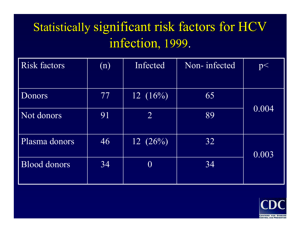## Statistically significant risk factors for HCV infection, 1999.

| <b>Risk factors</b> | (n) | Infected       | Non-infected | p<    |
|---------------------|-----|----------------|--------------|-------|
|                     |     |                |              |       |
| <b>Donors</b>       | 77  | 12(16%)        | 65           | 0.004 |
| Not donors          | 91  | $\overline{2}$ | 89           |       |
| Plasma donors       | 46  | 12(26%)        | 32           | 0.003 |
| <b>Blood donors</b> | 34  | $\overline{0}$ | 34           |       |

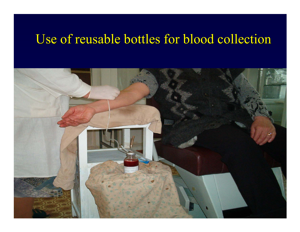### Use of reusable bottles for blood collection

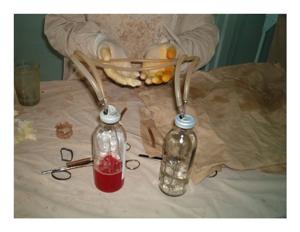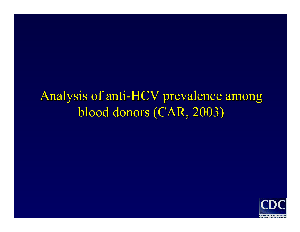Analysis of anti-HCV prevalence among blood donors (CAR, 2003) blood donors (CAR, 2003)

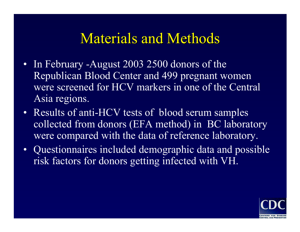## **Materials and Methods**

- In February -August 2003 2500 donors of the Republican Blood Center and 499 pregnant women were screened for HCV markers in one of the Central Asia regions.
- Results of anti-HCV tests of blood serum samples collected from donors (EFA method) in BC laboratory were compared with the data of reference laboratory.
- Questionnaires included demographic data and possible risk factors for donors getting infected with VH.

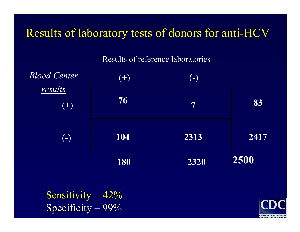#### Results of laboratory tests of donors for anti-HCV



Sensitivity -  $42\%$  ${\rm Specificity}$  :  $-$  99%

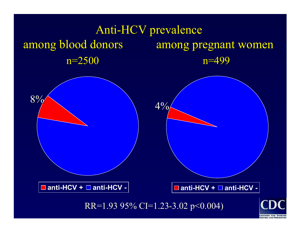#### **Anti-HCV prevalence** among blood donors among pregnant women n=2500n=499



**CENTERS FOR DISEASE**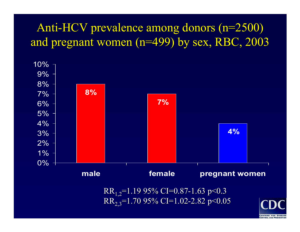#### Anti-HCV prevalence among donors  $(n=2500)$ and pregnant women  $(n=499)$  by sex, RBC, 2003



 $\overline{\text{RR}_{2,3}}$ =1.70 95% CI=1.02-2.82 p<0.05

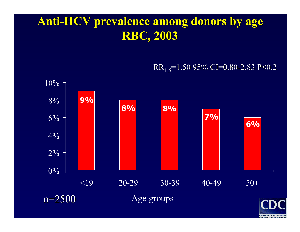#### **Anti-HCV prevalence among donors by age RBC, 2003 RBC, 2003**

 $\overline{\text{RR}_{1.5}}$ =1.50 95% CI=0.80-2.83 P<0.2



**CENTERS FOR DISEASE**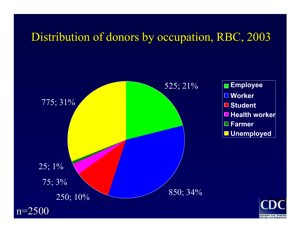#### Distribution of donors by occupation, RBC, 2003



**CENTERS FOR DISEASE**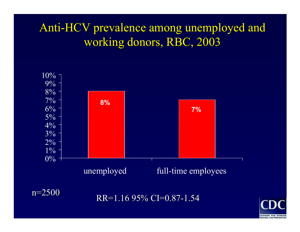#### Anti-HCV prevalence among unemployed and working donors, RBC, 2003



 $RR=1.16$  95% CI=0.87-1.54



n=2500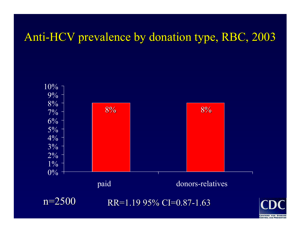#### Anti-HCV prevalence by donation type, RBC, 2003



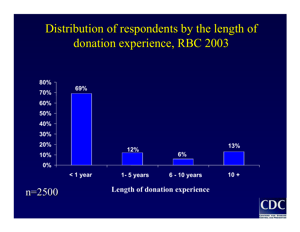#### Distribution of respondents by the length of donation experience, RBC 2003



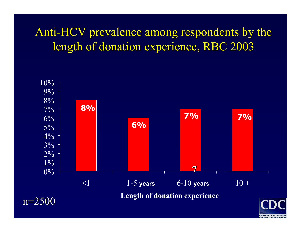### Anti-HCV prevalence among respondents by the length of donation experience, RBC 2003



**CENTERS FOR DISEASE**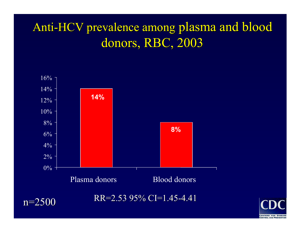### Anti-HCV prevalence among plasma and blood donors, RBC, 2003



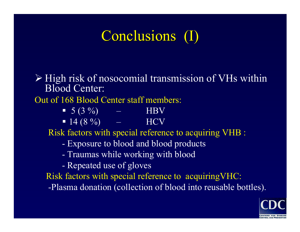## Conclusions (I)

¾ High risk of nosocomial transmission of VHs within Blood Center:

Out of 168 Blood Center staff members:

- $\blacksquare$  5 (3 %) – HBV
- $-14(8\%)$ – HCV

Risk factors with special reference to acquiring VHB :

- Exposure to blood and blood products
- Traumas while working with blood
- Repeated use of gloves

Risk factors with special reference to acquiringVHC: -Plasma donation (collection of blood into reusable bottles).

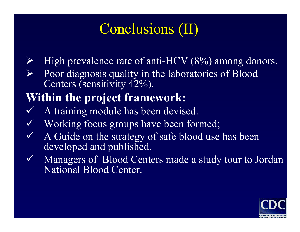## Conclusions (II)

- ¾High prevalence rate of anti-HCV (8%) among donors.
- $\triangleright$  Poor diagnosis quality in the laboratories of Blood Centers (sensitivity 42%).

### **Within the project framework:**

- $\checkmark$ A training module has been devised.
- $\checkmark$ Working focus groups have been formed;
- $\checkmark$  A Guide on the strategy of safe blood use has been developed and published.
- 9 Managers of Blood Centers made a study tour to Jordan National Blood Center.

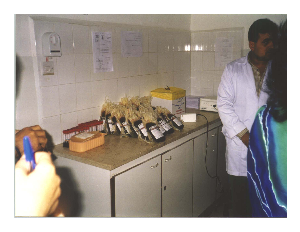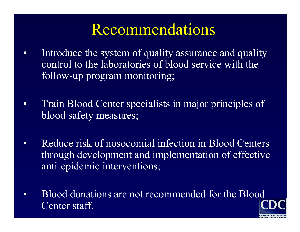## **Recommendations**

- • Introduce the system of quality assurance and quality control to the laboratories of blood service with the follow-up program monitoring;
- • Train Blood Center specialists in major principles of blood safety measures;
- • Reduce risk of nosocomial infection in Blood Centers through development and implementation of effective anti-epidemic interventions;
- • Blood donations are not recommended for the Blood Center staff.

**CENTERS FOR DISEAS**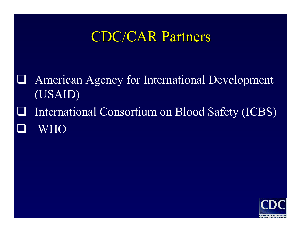## **CDC/CAR Partners**

- $\Box$  American Agency for International Development (USAID)
- $\Box$  International Consortium on Blood Safety (ICBS)  $\Box$ WHO